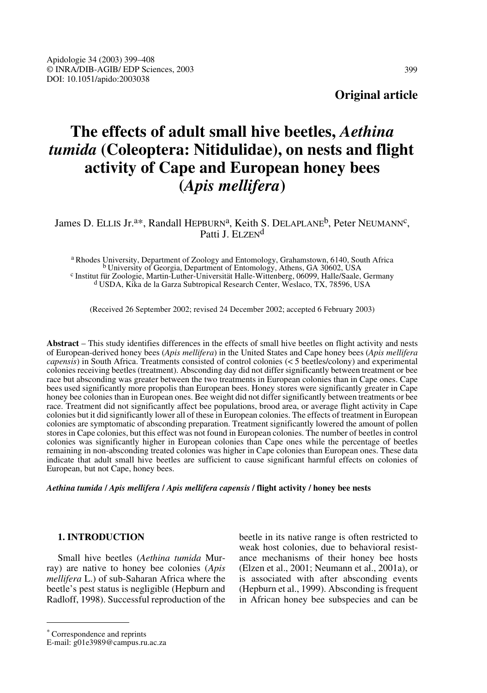**Original article**

# **The effects of adult small hive beetles,** *Aethina tumida* **(Coleoptera: Nitidulidae), on nests and flight activity of Cape and European honey bees (***Apis mellifera***)**

# James D. ELLIS Jr.<sup>a\*</sup>, Randall HEPBURN<sup>a</sup>, Keith S. DELAPLANE<sup>b</sup>, Peter NEUMANN<sup>c</sup>, Patti J. ELZEN<sup>d</sup>

a Rhodes University, Department of Zoology and Entomology, Grahamstown, 6140, South Africa<br>b University of Georgia, Department of Entomology, Athens, GA 30602, USA<br>c Institut für Zoologie, Martin-Luther-Universität Halle-W

(Received 26 September 2002; revised 24 December 2002; accepted 6 February 2003)

**Abstract** – This study identifies differences in the effects of small hive beetles on flight activity and nests of European-derived honey bees (*Apis mellifera*) in the United States and Cape honey bees (*Apis mellifera capensis*) in South Africa. Treatments consisted of control colonies (< 5 beetles/colony) and experimental colonies receiving beetles (treatment). Absconding day did not differ significantly between treatment or bee race but absconding was greater between the two treatments in European colonies than in Cape ones. Cape bees used significantly more propolis than European bees. Honey stores were significantly greater in Cape honey bee colonies than in European ones. Bee weight did not differ significantly between treatments or bee race. Treatment did not significantly affect bee populations, brood area, or average flight activity in Cape colonies but it did significantly lower all of these in European colonies. The effects of treatment in European colonies are symptomatic of absconding preparation. Treatment significantly lowered the amount of pollen stores in Cape colonies, but this effect was not found in European colonies. The number of beetles in control colonies was significantly higher in European colonies than Cape ones while the percentage of beetles remaining in non-absconding treated colonies was higher in Cape colonies than European ones. These data indicate that adult small hive beetles are sufficient to cause significant harmful effects on colonies of European, but not Cape, honey bees.

*Aethina tumida* **/** *Apis mellifera* **/** *Apis mellifera capensis* **/ flight activity / honey bee nests**

# **1. INTRODUCTION**

Small hive beetles (*Aethina tumida* Murray) are native to honey bee colonies (*Apis mellifera* L.) of sub-Saharan Africa where the beetle's pest status is negligible (Hepburn and Radloff, 1998). Successful reproduction of the beetle in its native range is often restricted to weak host colonies, due to behavioral resistance mechanisms of their honey bee hosts (Elzen et al., 2001; Neumann et al., 2001a), or is associated with after absconding events (Hepburn et al., 1999). Absconding is frequent in African honey bee subspecies and can be

<sup>\*</sup> Correspondence and reprints

E-mail: g01e3989@campus.ru.ac.za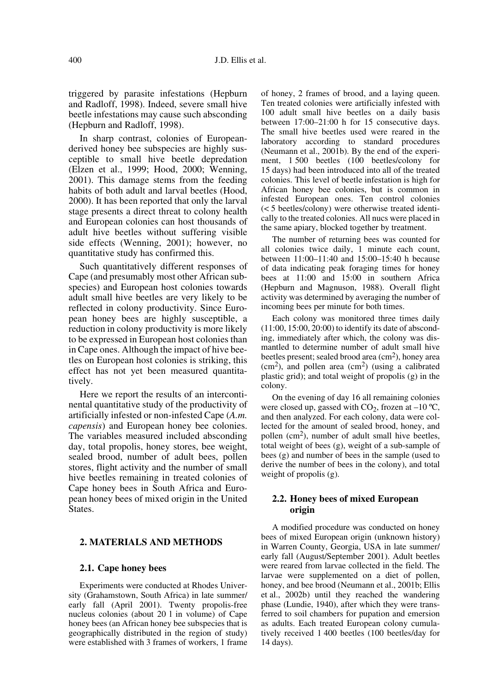triggered by parasite infestations (Hepburn and Radloff, 1998). Indeed, severe small hive beetle infestations may cause such absconding (Hepburn and Radloff, 1998).

In sharp contrast, colonies of Europeanderived honey bee subspecies are highly susceptible to small hive beetle depredation (Elzen et al., 1999; Hood, 2000; Wenning, 2001). This damage stems from the feeding habits of both adult and larval beetles (Hood, 2000). It has been reported that only the larval stage presents a direct threat to colony health and European colonies can host thousands of adult hive beetles without suffering visible side effects (Wenning, 2001); however, no quantitative study has confirmed this.

Such quantitatively different responses of Cape (and presumably most other African subspecies) and European host colonies towards adult small hive beetles are very likely to be reflected in colony productivity. Since European honey bees are highly susceptible, a reduction in colony productivity is more likely to be expressed in European host colonies than in Cape ones. Although the impact of hive beetles on European host colonies is striking, this effect has not yet been measured quantitatively.

Here we report the results of an intercontinental quantitative study of the productivity of artificially infested or non-infested Cape (*A.m. capensis*) and European honey bee colonies. The variables measured included absconding day, total propolis, honey stores, bee weight, sealed brood, number of adult bees, pollen stores, flight activity and the number of small hive beetles remaining in treated colonies of Cape honey bees in South Africa and European honey bees of mixed origin in the United States.

# **2. MATERIALS AND METHODS**

# **2.1. Cape honey bees**

Experiments were conducted at Rhodes University (Grahamstown, South Africa) in late summer/ early fall (April 2001). Twenty propolis-free nucleus colonies (about 20 l in volume) of Cape honey bees (an African honey bee subspecies that is geographically distributed in the region of study) were established with 3 frames of workers, 1 frame of honey, 2 frames of brood, and a laying queen. Ten treated colonies were artificially infested with 100 adult small hive beetles on a daily basis between 17:00–21:00 h for 15 consecutive days. The small hive beetles used were reared in the laboratory according to standard procedures (Neumann et al., 2001b). By the end of the experiment, 1 500 beetles (100 beetles/colony for 15 days) had been introduced into all of the treated colonies. This level of beetle infestation is high for African honey bee colonies, but is common in infested European ones. Ten control colonies (< 5 beetles/colony) were otherwise treated identically to the treated colonies. All nucs were placed in the same apiary, blocked together by treatment.

The number of returning bees was counted for all colonies twice daily, 1 minute each count, between 11:00–11:40 and 15:00–15:40 h because of data indicating peak foraging times for honey bees at 11:00 and 15:00 in southern Africa (Hepburn and Magnuson, 1988). Overall flight activity was determined by averaging the number of incoming bees per minute for both times.

Each colony was monitored three times daily (11:00, 15:00, 20:00) to identify its date of absconding, immediately after which, the colony was dismantled to determine number of adult small hive beetles present; sealed brood area  $\rm (cm^2)$ , honey area  $(cm<sup>2</sup>)$ , and pollen area  $(cm<sup>2</sup>)$  (using a calibrated plastic grid); and total weight of propolis (g) in the colony.

On the evening of day 16 all remaining colonies were closed up, gassed with  $CO<sub>2</sub>$ , frozen at -10 °C, and then analyzed. For each colony, data were collected for the amount of sealed brood, honey, and pollen  $(cm<sup>2</sup>)$ , number of adult small hive beetles, total weight of bees (g), weight of a sub-sample of bees (g) and number of bees in the sample (used to derive the number of bees in the colony), and total weight of propolis (g).

# **2.2. Honey bees of mixed European origin**

A modified procedure was conducted on honey bees of mixed European origin (unknown history) in Warren County, Georgia, USA in late summer/ early fall (August/September 2001). Adult beetles were reared from larvae collected in the field. The larvae were supplemented on a diet of pollen, honey, and bee brood (Neumann et al., 2001b; Ellis et al., 2002b) until they reached the wandering phase (Lundie, 1940), after which they were transferred to soil chambers for pupation and emersion as adults. Each treated European colony cumulatively received 1 400 beetles (100 beetles/day for 14 days).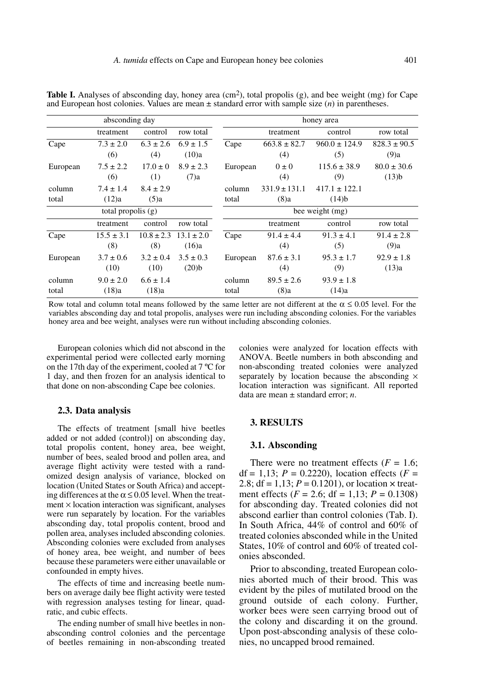| absconding day       |                        |                        |                          | honey area      |                           |                               |                             |
|----------------------|------------------------|------------------------|--------------------------|-----------------|---------------------------|-------------------------------|-----------------------------|
|                      | treatment              | control                | row total                |                 | treatment                 | control                       | row total                   |
| Cape                 | $7.3 \pm 2.0$<br>(6)   | $6.3 \pm 2.6$<br>(4)   | $6.9 \pm 1.5$<br>(10)a   | Cape            | $663.8 \pm 82.7$<br>(4)   | $960.0 \pm 124.9$<br>(5)      | $828.3 \pm 90.5$<br>(9)a    |
| European             | $7.5 \pm 2.2$<br>(6)   | $17.0 \pm 0$<br>(1)    | $8.9 \pm 2.3$<br>$(7)$ a | European        | $0 \pm 0$<br>(4)          | $115.6 \pm 38.9$<br>(9)       | $80.0 \pm 30.6$<br>$(13)$ b |
| column<br>total      | $7.4 \pm 1.4$<br>(12)a | $8.4 \pm 2.9$<br>(5)a  |                          | column<br>total | $331.9 \pm 131.1$<br>(8)a | $417.1 \pm 122.1$<br>$(14)$ b |                             |
| total propolis $(g)$ |                        |                        |                          | bee weight (mg) |                           |                               |                             |
|                      | treatment              | control                | row total                |                 | treatment                 | control                       | row total                   |
| Cape                 | $15.5 \pm 3.1$<br>(8)  | $10.8 \pm 2.3$<br>(8)  | $13.1 \pm 2.0$<br>(16)a  | Cape            | $91.4 \pm 4.4$<br>(4)     | $91.3 \pm 4.1$<br>(5)         | $91.4 \pm 2.8$<br>(9)a      |
| European             | $3.7 \pm 0.6$<br>(10)  | $3.2 \pm 0.4$<br>(10)  | $3.5 \pm 0.3$<br>(20)b   | European        | $87.6 \pm 3.1$<br>(4)     | $95.3 \pm 1.7$<br>(9)         | $92.9 \pm 1.8$<br>(13)a     |
| column<br>total      | $9.0 \pm 2.0$<br>(18)a | $6.6 \pm 1.4$<br>(18)a |                          | column<br>total | $89.5 \pm 2.6$<br>(8)a    | $93.9 \pm 1.8$<br>(14)a       |                             |

**Table I.** Analyses of absconding day, honey area (cm<sup>2</sup>), total propolis (g), and bee weight (mg) for Cape and European host colonies. Values are mean ± standard error with sample size (*n*) in parentheses.

Row total and column total means followed by the same letter are not different at the  $\alpha \le 0.05$  level. For the variables absconding day and total propolis, analyses were run including absconding colonies. For the variables honey area and bee weight, analyses were run without including absconding colonies.

European colonies which did not abscond in the experimental period were collected early morning on the 17th day of the experiment, cooled at 7 ºC for 1 day, and then frozen for an analysis identical to that done on non-absconding Cape bee colonies.

colonies were analyzed for location effects with ANOVA. Beetle numbers in both absconding and non-absconding treated colonies were analyzed separately by location because the absconding  $\times$ location interaction was significant. All reported data are mean ± standard error; *n*.

## **2.3. Data analysis**

The effects of treatment [small hive beetles added or not added (control)] on absconding day, total propolis content, honey area, bee weight, number of bees, sealed brood and pollen area, and average flight activity were tested with a randomized design analysis of variance, blocked on location (United States or South Africa) and accepting differences at the  $\alpha \le 0.05$  level. When the treat $ment \times location interaction was significant, analyses$ were run separately by location. For the variables absconding day, total propolis content, brood and pollen area, analyses included absconding colonies. Absconding colonies were excluded from analyses of honey area, bee weight, and number of bees because these parameters were either unavailable or confounded in empty hives.

The effects of time and increasing beetle numbers on average daily bee flight activity were tested with regression analyses testing for linear, quadratic, and cubic effects.

The ending number of small hive beetles in nonabsconding control colonies and the percentage of beetles remaining in non-absconding treated

# **3. RESULTS**

#### **3.1. Absconding**

There were no treatment effects  $(F = 1.6;$ df = 1,13; *P* = 0.2220), location effects (*F* = 2.8;  $df = 1,13; P = 0.1201$ , or location  $\times$  treatment effects ( $F = 2.6$ ; df = 1,13;  $P = 0.1308$ ) for absconding day. Treated colonies did not abscond earlier than control colonies (Tab. I). In South Africa, 44% of control and 60% of treated colonies absconded while in the United States, 10% of control and 60% of treated colonies absconded.

Prior to absconding, treated European colonies aborted much of their brood. This was evident by the piles of mutilated brood on the ground outside of each colony. Further, worker bees were seen carrying brood out of the colony and discarding it on the ground. Upon post-absconding analysis of these colonies, no uncapped brood remained.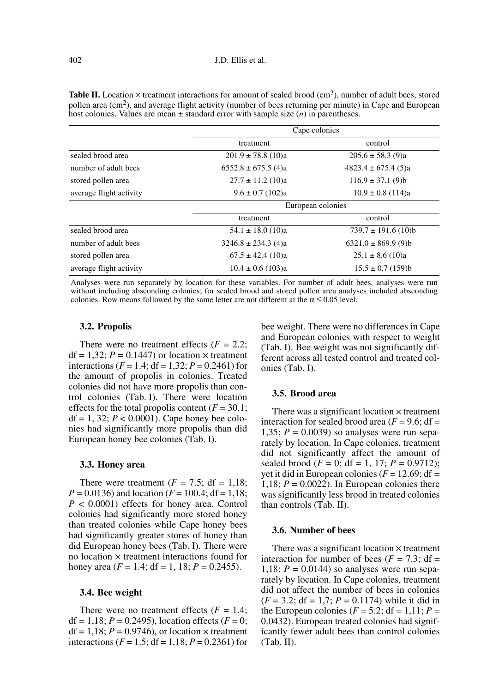| <b>Table II.</b> Location $\times$ treatment interactions for amount of sealed brood (cm <sup>2</sup> ), number of adult bees, stored |
|---------------------------------------------------------------------------------------------------------------------------------------|
| pollen area (cm <sup>2</sup> ), and average flight activity (number of bees returning per minute) in Cape and European                |
| host colonies. Values are mean $\pm$ standard error with sample size ( <i>n</i> ) in parentheses.                                     |

|                         | Cape colonies           |                         |  |  |
|-------------------------|-------------------------|-------------------------|--|--|
|                         | treatment               | control                 |  |  |
| sealed brood area       | $201.9 \pm 78.8$ (10)a  | $205.6 \pm 58.3$ (9)a   |  |  |
| number of adult bees    | $6552.8 \pm 675.5$ (4)a | $4823.4 \pm 675.4$ (5)a |  |  |
| stored pollen area      | $27.7 \pm 11.2$ (10)a   | $116.9 \pm 37.1$ (9)b   |  |  |
| average flight activity | $9.6 \pm 0.7$ (102)a    | $10.9 \pm 0.8$ (114)a   |  |  |
|                         | European colonies       |                         |  |  |
|                         | treatment               | control                 |  |  |
| sealed brood area       | $54.1 \pm 18.0$ (10)a   | $739.7 \pm 191.6$ (10)b |  |  |
| number of adult bees    | $3246.8 \pm 234.3$ (4)a | $6321.0 \pm 869.9$ (9)b |  |  |
| stored pollen area      | $67.5 \pm 42.4$ (10)a   | $25.1 \pm 8.6$ (10)a    |  |  |
| average flight activity | $10.4 \pm 0.6$ (103)a   | $15.5 \pm 0.7$ (159)b   |  |  |

Analyses were run separately by location for these variables. For number of adult bees, analyses were run without including absconding colonies; for sealed brood and stored pollen area analyses included absconding colonies. Row means followed by the same letter are not different at the  $\alpha \le 0.05$  level.

#### **3.2. Propolis**

There were no treatment effects  $(F = 2.2$ ;  $df = 1,32; P = 0.1447$  or location  $\times$  treatment interactions ( $F = 1.4$ ; df = 1,32;  $P = 0.2461$ ) for the amount of propolis in colonies. Treated colonies did not have more propolis than control colonies (Tab. I). There were location effects for the total propolis content  $(F = 30.1)$ ; df = 1, 32;  $P < 0.0001$ ). Cape honey bee colonies had significantly more propolis than did European honey bee colonies (Tab. I).

#### **3.3. Honey area**

There were treatment  $(F = 7.5$ ; df = 1.18;  $P = 0.0136$ ) and location ( $F = 100.4$ ; df = 1,18; *P* < 0.0001) effects for honey area. Control colonies had significantly more stored honey than treated colonies while Cape honey bees had significantly greater stores of honey than did European honey bees (Tab. I). There were no location  $\times$  treatment interactions found for honey area  $(F = 1.4; df = 1, 18; P = 0.2455)$ .

#### **3.4. Bee weight**

There were no treatment effects  $(F = 1.4$ ; df = 1,18;  $P = 0.2495$ ), location effects ( $F = 0$ ;  $df = 1,18; P = 0.9746$ , or location  $\times$  treatment interactions ( $F = 1.5$ ; df = 1,18;  $P = 0.2361$ ) for bee weight. There were no differences in Cape and European colonies with respect to weight (Tab. I). Bee weight was not significantly different across all tested control and treated colonies (Tab. I).

## **3.5. Brood area**

There was a significant location × treatment interaction for sealed brood area  $(F = 9.6; df =$ 1,35;  $P = 0.0039$ ) so analyses were run separately by location. In Cape colonies, treatment did not significantly affect the amount of sealed brood ( $F = 0$ ; df = 1, 17;  $P = 0.9712$ ); yet it did in European colonies  $(F = 12.69; df =$ 1,18;  $P = 0.0022$ ). In European colonies there was significantly less brood in treated colonies than controls (Tab. II).

### **3.6. Number of bees**

There was a significant location  $\times$  treatment interaction for number of bees  $(F = 7.3; df =$ 1,18;  $P = 0.0144$ ) so analyses were run separately by location. In Cape colonies, treatment did not affect the number of bees in colonies  $(F = 3.2; df = 1.7; P = 0.1174)$  while it did in the European colonies ( $F = 5.2$ ; df = 1,11;  $P =$ 0.0432). European treated colonies had significantly fewer adult bees than control colonies (Tab. II).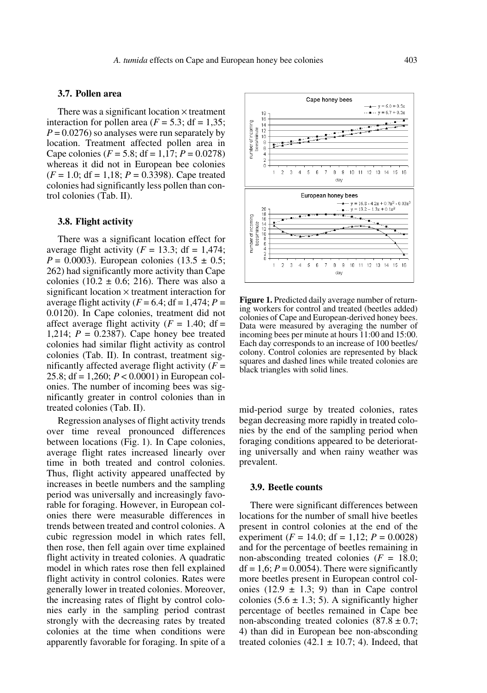## **3.7. Pollen area**

There was a significant location  $\times$  treatment interaction for pollen area  $(F = 5.3; df = 1.35;$  $P = 0.0276$  so analyses were run separately by location. Treatment affected pollen area in Cape colonies (*F* = 5.8; df = 1,17; *P* = 0.0278) whereas it did not in European bee colonies  $(F = 1.0; df = 1.18; P = 0.3398)$ . Cape treated colonies had significantly less pollen than control colonies (Tab. II).

## **3.8. Flight activity**

There was a significant location effect for average flight activity  $(F = 13.3; df = 1,474;$ *P* = 0.0003). European colonies (13.5  $\pm$  0.5; 262) had significantly more activity than Cape colonies (10.2  $\pm$  0.6; 216). There was also a significant location  $\times$  treatment interaction for average flight activity  $(F = 6.4; df = 1,474; P =$ 0.0120). In Cape colonies, treatment did not affect average flight activity  $(F = 1.40; df =$ 1,214; *P* = 0.2387). Cape honey bee treated colonies had similar flight activity as control colonies (Tab. II). In contrast, treatment significantly affected average flight activity  $(F =$ 25.8; df = 1,260; *P* < 0.0001) in European colonies. The number of incoming bees was significantly greater in control colonies than in treated colonies (Tab. II).

Regression analyses of flight activity trends over time reveal pronounced differences between locations (Fig. 1). In Cape colonies, average flight rates increased linearly over time in both treated and control colonies. Thus, flight activity appeared unaffected by increases in beetle numbers and the sampling period was universally and increasingly favorable for foraging. However, in European colonies there were measurable differences in trends between treated and control colonies. A cubic regression model in which rates fell, then rose, then fell again over time explained flight activity in treated colonies. A quadratic model in which rates rose then fell explained flight activity in control colonies. Rates were generally lower in treated colonies. Moreover, the increasing rates of flight by control colonies early in the sampling period contrast strongly with the decreasing rates by treated colonies at the time when conditions were apparently favorable for foraging. In spite of a



**Figure 1.** Predicted daily average number of returning workers for control and treated (beetles added) colonies of Cape and European-derived honey bees. Data were measured by averaging the number of incoming bees per minute at hours 11:00 and 15:00. Each day corresponds to an increase of 100 beetles/ colony. Control colonies are represented by black squares and dashed lines while treated colonies are black triangles with solid lines.

mid-period surge by treated colonies, rates began decreasing more rapidly in treated colonies by the end of the sampling period when foraging conditions appeared to be deteriorating universally and when rainy weather was prevalent.

#### **3.9. Beetle counts**

There were significant differences between locations for the number of small hive beetles present in control colonies at the end of the experiment ( $F = 14.0$ ; df = 1,12;  $P = 0.0028$ ) and for the percentage of beetles remaining in non-absconding treated colonies (*F* = 18.0;  $df = 1.6$ ;  $P = 0.0054$ ). There were significantly more beetles present in European control colonies  $(12.9 \pm 1.3; 9)$  than in Cape control colonies  $(5.6 \pm 1.3; 5)$ . A significantly higher percentage of beetles remained in Cape bee non-absconding treated colonies  $(87.8 \pm 0.7)$ ; 4) than did in European bee non-absconding treated colonies  $(42.1 \pm 10.7; 4)$ . Indeed, that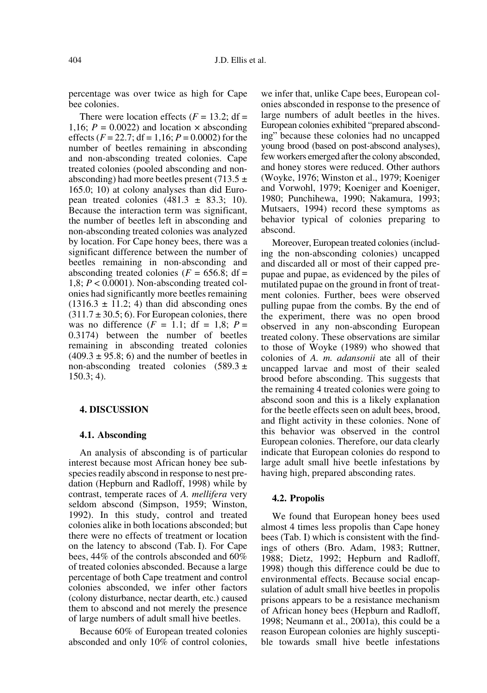percentage was over twice as high for Cape bee colonies.

There were location effects  $(F = 13.2$ ; df = 1,16;  $P = 0.0022$ ) and location  $\times$  absconding effects  $(F = 22.7; df = 1,16; P = 0.0002)$  for the number of beetles remaining in absconding and non-absconding treated colonies. Cape treated colonies (pooled absconding and nonabsconding) had more beetles present (713.5  $\pm$ 165.0; 10) at colony analyses than did European treated colonies  $(481.3 \pm 83.3; 10)$ . Because the interaction term was significant, the number of beetles left in absconding and non-absconding treated colonies was analyzed by location. For Cape honey bees, there was a significant difference between the number of beetles remaining in non-absconding and absconding treated colonies ( $F = 656.8$ ; df = 1,8; *P* < 0.0001). Non-absconding treated colonies had significantly more beetles remaining  $(1316.3 \pm 11.2; 4)$  than did absconding ones  $(311.7 \pm 30.5; 6)$ . For European colonies, there was no difference  $(F = 1.1$ ; df = 1,8;  $P =$ 0.3174) between the number of beetles remaining in absconding treated colonies  $(409.3 \pm 95.8; 6)$  and the number of beetles in non-absconding treated colonies  $(589.3 \pm$ 150.3; 4).

### **4. DISCUSSION**

#### **4.1. Absconding**

An analysis of absconding is of particular interest because most African honey bee subspecies readily abscond in response to nest predation (Hepburn and Radloff, 1998) while by contrast, temperate races of *A. mellifera* very seldom abscond (Simpson, 1959; Winston, 1992). In this study, control and treated colonies alike in both locations absconded; but there were no effects of treatment or location on the latency to abscond (Tab. I). For Cape bees, 44% of the controls absconded and 60% of treated colonies absconded. Because a large percentage of both Cape treatment and control colonies absconded, we infer other factors (colony disturbance, nectar dearth, etc.) caused them to abscond and not merely the presence of large numbers of adult small hive beetles.

Because 60% of European treated colonies absconded and only 10% of control colonies,

we infer that, unlike Cape bees, European colonies absconded in response to the presence of large numbers of adult beetles in the hives. European colonies exhibited "prepared absconding" because these colonies had no uncapped young brood (based on post-abscond analyses), few workers emerged after the colony absconded, and honey stores were reduced. Other authors (Woyke, 1976; Winston et al., 1979; Koeniger and Vorwohl, 1979; Koeniger and Koeniger, 1980; Punchihewa, 1990; Nakamura, 1993; Mutsaers, 1994) record these symptoms as behavior typical of colonies preparing to abscond.

Moreover, European treated colonies (including the non-absconding colonies) uncapped and discarded all or most of their capped prepupae and pupae, as evidenced by the piles of mutilated pupae on the ground in front of treatment colonies. Further, bees were observed pulling pupae from the combs. By the end of the experiment, there was no open brood observed in any non-absconding European treated colony. These observations are similar to those of Woyke (1989) who showed that colonies of *A. m. adansonii* ate all of their uncapped larvae and most of their sealed brood before absconding. This suggests that the remaining 4 treated colonies were going to abscond soon and this is a likely explanation for the beetle effects seen on adult bees, brood, and flight activity in these colonies. None of this behavior was observed in the control European colonies. Therefore, our data clearly indicate that European colonies do respond to large adult small hive beetle infestations by having high, prepared absconding rates.

#### **4.2. Propolis**

We found that European honey bees used almost 4 times less propolis than Cape honey bees (Tab. I) which is consistent with the findings of others (Bro. Adam, 1983; Ruttner, 1988; Dietz, 1992; Hepburn and Radloff, 1998) though this difference could be due to environmental effects. Because social encapsulation of adult small hive beetles in propolis prisons appears to be a resistance mechanism of African honey bees (Hepburn and Radloff, 1998; Neumann et al., 2001a), this could be a reason European colonies are highly susceptible towards small hive beetle infestations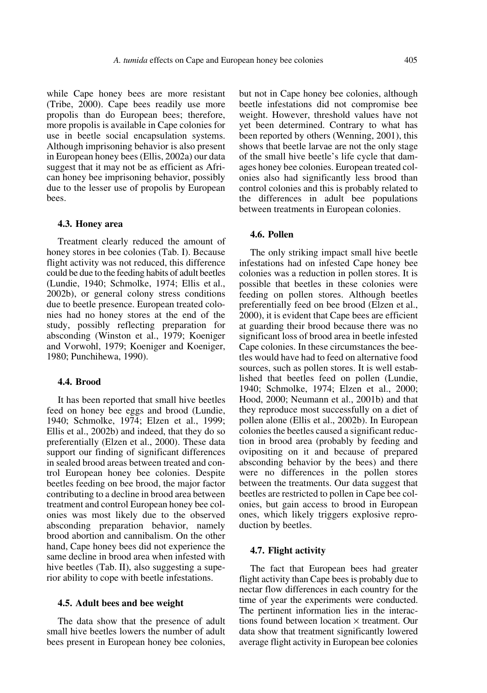while Cape honey bees are more resistant (Tribe, 2000). Cape bees readily use more propolis than do European bees; therefore, more propolis is available in Cape colonies for use in beetle social encapsulation systems. Although imprisoning behavior is also present in European honey bees (Ellis, 2002a) our data suggest that it may not be as efficient as African honey bee imprisoning behavior, possibly due to the lesser use of propolis by European bees.

#### **4.3. Honey area**

Treatment clearly reduced the amount of honey stores in bee colonies (Tab. I). Because flight activity was not reduced, this difference could be due to the feeding habits of adult beetles (Lundie, 1940; Schmolke, 1974; Ellis et al., 2002b), or general colony stress conditions due to beetle presence. European treated colonies had no honey stores at the end of the study, possibly reflecting preparation for absconding (Winston et al., 1979; Koeniger and Vorwohl, 1979; Koeniger and Koeniger, 1980; Punchihewa, 1990).

## **4.4. Brood**

It has been reported that small hive beetles feed on honey bee eggs and brood (Lundie, 1940; Schmolke, 1974; Elzen et al., 1999; Ellis et al., 2002b) and indeed, that they do so preferentially (Elzen et al., 2000). These data support our finding of significant differences in sealed brood areas between treated and control European honey bee colonies. Despite beetles feeding on bee brood, the major factor contributing to a decline in brood area between treatment and control European honey bee colonies was most likely due to the observed absconding preparation behavior, namely brood abortion and cannibalism. On the other hand, Cape honey bees did not experience the same decline in brood area when infested with hive beetles (Tab. II), also suggesting a superior ability to cope with beetle infestations.

#### **4.5. Adult bees and bee weight**

The data show that the presence of adult small hive beetles lowers the number of adult bees present in European honey bee colonies,

but not in Cape honey bee colonies, although beetle infestations did not compromise bee weight. However, threshold values have not yet been determined. Contrary to what has been reported by others (Wenning, 2001), this shows that beetle larvae are not the only stage of the small hive beetle's life cycle that damages honey bee colonies. European treated colonies also had significantly less brood than control colonies and this is probably related to the differences in adult bee populations between treatments in European colonies.

#### **4.6. Pollen**

The only striking impact small hive beetle infestations had on infested Cape honey bee colonies was a reduction in pollen stores. It is possible that beetles in these colonies were feeding on pollen stores. Although beetles preferentially feed on bee brood (Elzen et al., 2000), it is evident that Cape bees are efficient at guarding their brood because there was no significant loss of brood area in beetle infested Cape colonies. In these circumstances the beetles would have had to feed on alternative food sources, such as pollen stores. It is well established that beetles feed on pollen (Lundie, 1940; Schmolke, 1974; Elzen et al., 2000; Hood, 2000; Neumann et al., 2001b) and that they reproduce most successfully on a diet of pollen alone (Ellis et al., 2002b). In European colonies the beetles caused a significant reduction in brood area (probably by feeding and ovipositing on it and because of prepared absconding behavior by the bees) and there were no differences in the pollen stores between the treatments. Our data suggest that beetles are restricted to pollen in Cape bee colonies, but gain access to brood in European ones, which likely triggers explosive reproduction by beetles.

#### **4.7. Flight activity**

The fact that European bees had greater flight activity than Cape bees is probably due to nectar flow differences in each country for the time of year the experiments were conducted. The pertinent information lies in the interactions found between location  $\times$  treatment. Our data show that treatment significantly lowered average flight activity in European bee colonies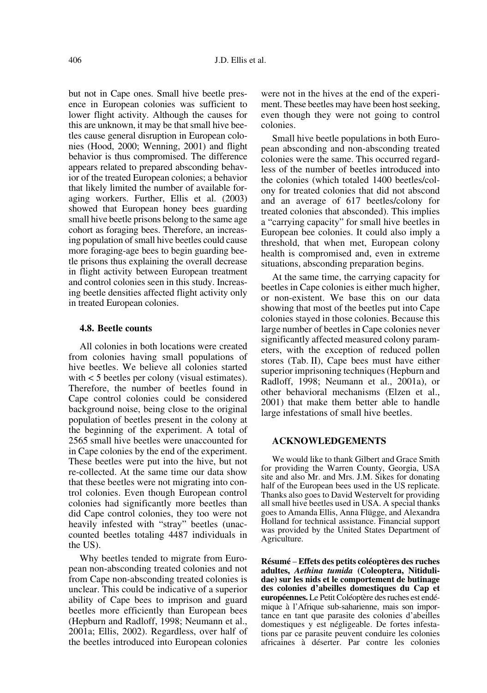but not in Cape ones. Small hive beetle presence in European colonies was sufficient to lower flight activity. Although the causes for this are unknown, it may be that small hive beetles cause general disruption in European colonies (Hood, 2000; Wenning, 2001) and flight behavior is thus compromised. The difference appears related to prepared absconding behavior of the treated European colonies; a behavior that likely limited the number of available foraging workers. Further, Ellis et al. (2003) showed that European honey bees guarding small hive beetle prisons belong to the same age cohort as foraging bees. Therefore, an increasing population of small hive beetles could cause more foraging-age bees to begin guarding beetle prisons thus explaining the overall decrease in flight activity between European treatment and control colonies seen in this study. Increasing beetle densities affected flight activity only in treated European colonies.

## **4.8. Beetle counts**

All colonies in both locations were created from colonies having small populations of hive beetles. We believe all colonies started with < 5 beetles per colony (visual estimates). Therefore, the number of beetles found in Cape control colonies could be considered background noise, being close to the original population of beetles present in the colony at the beginning of the experiment. A total of 2565 small hive beetles were unaccounted for in Cape colonies by the end of the experiment. These beetles were put into the hive, but not re-collected. At the same time our data show that these beetles were not migrating into control colonies. Even though European control colonies had significantly more beetles than did Cape control colonies, they too were not heavily infested with "stray" beetles (unaccounted beetles totaling 4487 individuals in the US).

Why beetles tended to migrate from European non-absconding treated colonies and not from Cape non-absconding treated colonies is unclear. This could be indicative of a superior ability of Cape bees to imprison and guard beetles more efficiently than European bees (Hepburn and Radloff, 1998; Neumann et al., 2001a; Ellis, 2002). Regardless, over half of the beetles introduced into European colonies were not in the hives at the end of the experiment. These beetles may have been host seeking, even though they were not going to control colonies.

Small hive beetle populations in both European absconding and non-absconding treated colonies were the same. This occurred regardless of the number of beetles introduced into the colonies (which totaled 1400 beetles/colony for treated colonies that did not abscond and an average of 617 beetles/colony for treated colonies that absconded). This implies a "carrying capacity" for small hive beetles in European bee colonies. It could also imply a threshold, that when met, European colony health is compromised and, even in extreme situations, absconding preparation begins.

At the same time, the carrying capacity for beetles in Cape colonies is either much higher, or non-existent. We base this on our data showing that most of the beetles put into Cape colonies stayed in those colonies. Because this large number of beetles in Cape colonies never significantly affected measured colony parameters, with the exception of reduced pollen stores (Tab. II), Cape bees must have either superior imprisoning techniques (Hepburn and Radloff, 1998; Neumann et al., 2001a), or other behavioral mechanisms (Elzen et al., 2001) that make them better able to handle large infestations of small hive beetles.

## **ACKNOWLEDGEMENTS**

We would like to thank Gilbert and Grace Smith for providing the Warren County, Georgia, USA site and also Mr. and Mrs. J.M. Sikes for donating half of the European bees used in the US replicate. Thanks also goes to David Westervelt for providing all small hive beetles used in USA. A special thanks goes to Amanda Ellis, Anna Flügge, and Alexandra Holland for technical assistance. Financial support was provided by the United States Department of Agriculture.

**Résumé** – **Effets des petits coléoptères des ruches adultes,** *Aethina tumida* **(Coleoptera, Nitidulidae) sur les nids et le comportement de butinage des colonies d'abeilles domestiques du Cap et européennes.** Le Petit Coléoptère des ruches est endémique à l'Afrique sub-saharienne, mais son importance en tant que parasite des colonies d'abeilles domestiques y est négligeable. De fortes infestations par ce parasite peuvent conduire les colonies africaines à déserter. Par contre les colonies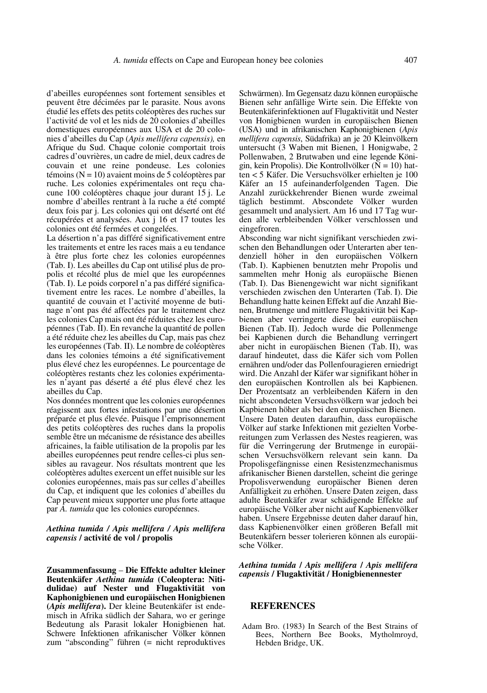d'abeilles européennes sont fortement sensibles et peuvent être décimées par le parasite. Nous avons étudié les effets des petits coléoptères des ruches sur l'activité de vol et les nids de 20 colonies d'abeilles domestiques européennes aux USA et de 20 colonies d'abeilles du Cap (*Apis mellifera capensis),* en Afrique du Sud. Chaque colonie comportait trois cadres d'ouvrières, un cadre de miel, deux cadres de couvain et une reine pondeuse. Les colonies témoins ( $N = 10$ ) avaient moins de 5 coléoptères par ruche. Les colonies expérimentales ont reçu chacune 100 coléoptères chaque jour durant 15 j. Le nombre d'abeilles rentrant à la ruche a été compté deux fois par j. Les colonies qui ont déserté ont été récupérées et analysées. Aux j 16 et 17 toutes les colonies ont été fermées et congelées.

La désertion n'a pas différé significativement entre les traitements et entre les races mais a eu tendance à être plus forte chez les colonies européennes (Tab. I). Les abeilles du Cap ont utilisé plus de propolis et récolté plus de miel que les européennes (Tab. I). Le poids corporel n'a pas différé significativement entre les races. Le nombre d'abeilles, la quantité de couvain et l'activité moyenne de butinage n'ont pas été affectées par le traitement chez les colonies Cap mais ont été réduites chez les européennes (Tab. II). En revanche la quantité de pollen a été réduite chez les abeilles du Cap, mais pas chez les européennes (Tab. II). Le nombre de coléoptères dans les colonies témoins a été significativement plus élevé chez les européennes. Le pourcentage de coléoptères restants chez les colonies expérimentales n'ayant pas déserté a été plus élevé chez les abeilles du Cap.

Nos données montrent que les colonies européennes réagissent aux fortes infestations par une désertion préparée et plus élevée. Puisque l'emprisonnement des petits coléoptères des ruches dans la propolis semble être un mécanisme de résistance des abeilles africaines, la faible utilisation de la propolis par les abeilles européennes peut rendre celles-ci plus sensibles au ravageur. Nos résultats montrent que les coléoptères adultes exercent un effet nuisible sur les colonies européennes, mais pas sur celles d'abeilles du Cap, et indiquent que les colonies d'abeilles du Cap peuvent mieux supporter une plus forte attaque par *A. tumida* que les colonies européennes.

#### *Aethina tumida / Apis mellifera / Apis mellifera capensis* **/ activité de vol / propolis**

**Zusammenfassung** – **Die Effekte adulter kleiner Beutenkäfer** *Aethina tumida* **(Coleoptera: Nitidulidae) auf Nester und Flugaktivität von Kaphonigbienen und europäischen Honigbienen (***Apis mellifera***).** Der kleine Beutenkäfer ist endemisch in Afrika südlich der Sahara, wo er geringe Bedeutung als Parasit lokaler Honigbienen hat. Schwere Infektionen afrikanischer Völker können zum "absconding" führen (= nicht reproduktives Schwärmen). Im Gegensatz dazu können europäische Bienen sehr anfällige Wirte sein. Die Effekte von Beutenkäferinfektionen auf Flugaktivität und Nester von Honigbienen wurden in europäischen Bienen (USA) und in afrikanischen Kaphonigbienen (*Apis mellifera capensis*, Südafrika) an je 20 Kleinvölkern untersucht (3 Waben mit Bienen, 1 Honigwabe, 2 Pollenwaben, 2 Brutwaben und eine legende Königin, kein Propolis). Die Kontrollvölker ( $N = 10$ ) hatten < 5 Käfer. Die Versuchsvölker erhielten je 100 Käfer an 15 aufeinanderfolgenden Tagen. Die Anzahl zurückkehrender Bienen wurde zweimal täglich bestimmt. Abscondete Völker wurden gesammelt und analysiert. Am 16 und 17 Tag wurden alle verbleibenden Völker verschlossen und eingefroren.

Absconding war nicht signifikant verschieden zwischen den Behandlungen oder Unterarten aber tendenziell höher in den europäischen Völkern (Tab. I). Kapbienen benutzten mehr Propolis und sammelten mehr Honig als europäische Bienen (Tab. I). Das Bienengewicht war nicht signifikant verschieden zwischen den Unterarten (Tab. I). Die Behandlung hatte keinen Effekt auf die Anzahl Bienen, Brutmenge und mittlere Flugaktivität bei Kapbienen aber verringerte diese bei europäischen Bienen (Tab. II). Jedoch wurde die Pollenmenge bei Kapbienen durch die Behandlung verringert aber nicht in europäischen Bienen (Tab. II), was darauf hindeutet, dass die Käfer sich vom Pollen ernähren und/oder das Pollenfouragieren erniedrigt wird. Die Anzahl der Käfer war signifikant höher in den europäischen Kontrollen als bei Kapbienen. Der Prozentsatz an verbleibenden Käfern in den nicht abscondeten Versuchsvölkern war jedoch bei Kapbienen höher als bei den europäischen Bienen. Unsere Daten deuten daraufhin, dass europäische Völker auf starke Infektionen mit gezielten Vorbereitungen zum Verlassen des Nestes reagieren, was für die Verringerung der Brutmenge in europäischen Versuchsvölkern relevant sein kann. Da Propolisgefängnisse einen Resistenzmechanismus afrikanischer Bienen darstellen, scheint die geringe Propolisverwendung europäischer Bienen deren Anfälligkeit zu erhöhen. Unsere Daten zeigen, dass adulte Beutenkäfer zwar schädigende Effekte auf europäische Völker aber nicht auf Kapbienenvölker haben. Unsere Ergebnisse deuten daher darauf hin, dass Kapbienenvölker einen größeren Befall mit Beutenkäfern besser tolerieren können als europäische Völker.

#### *Aethina tumida* **/** *Apis mellifera* **/** *Apis mellifera capensis* **/ Flugaktivität / Honigbienennester**

## **REFERENCES**

Adam Bro. (1983) In Search of the Best Strains of Bees, Northern Bee Books, Mytholmroyd, Hebden Bridge, UK.